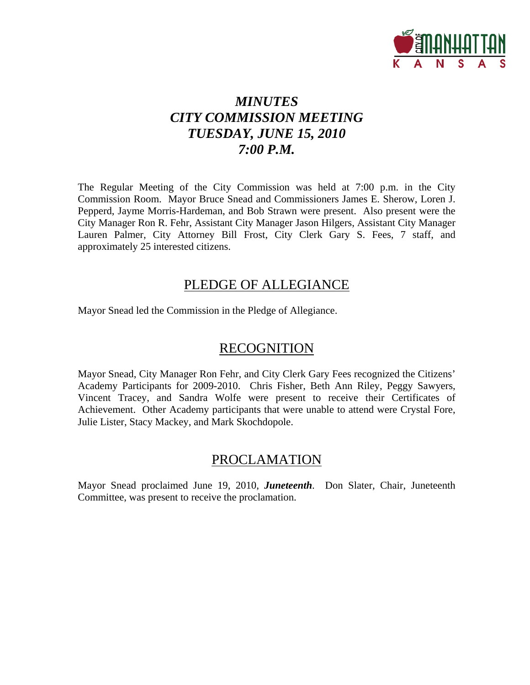

# *MINUTES CITY COMMISSION MEETING TUESDAY, JUNE 15, 2010 7:00 P.M.*

The Regular Meeting of the City Commission was held at 7:00 p.m. in the City Commission Room. Mayor Bruce Snead and Commissioners James E. Sherow, Loren J. Pepperd, Jayme Morris-Hardeman, and Bob Strawn were present. Also present were the City Manager Ron R. Fehr, Assistant City Manager Jason Hilgers, Assistant City Manager Lauren Palmer, City Attorney Bill Frost, City Clerk Gary S. Fees, 7 staff, and approximately 25 interested citizens.

## PLEDGE OF ALLEGIANCE

Mayor Snead led the Commission in the Pledge of Allegiance.

## RECOGNITION

Mayor Snead, City Manager Ron Fehr, and City Clerk Gary Fees recognized the Citizens' Academy Participants for 2009-2010. Chris Fisher, Beth Ann Riley, Peggy Sawyers, Vincent Tracey, and Sandra Wolfe were present to receive their Certificates of Achievement. Other Academy participants that were unable to attend were Crystal Fore, Julie Lister, Stacy Mackey, and Mark Skochdopole.

## PROCLAMATION

Mayor Snead proclaimed June 19, 2010, *Juneteenth*. Don Slater, Chair, Juneteenth Committee, was present to receive the proclamation.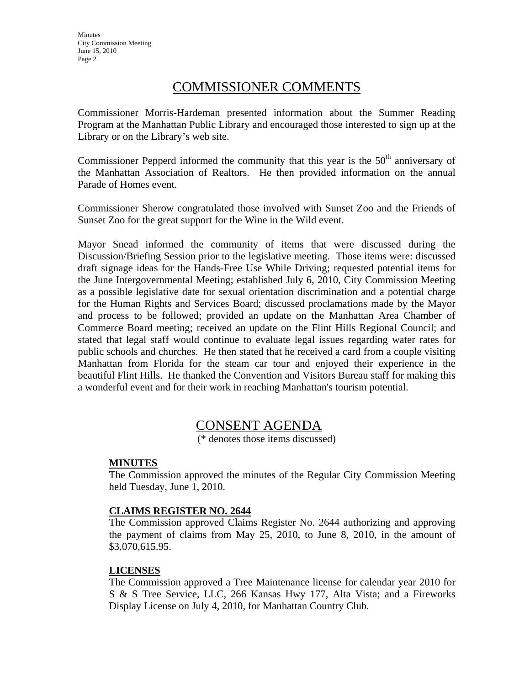**Minutes** City Commission Meeting June 15, 2010 Page 2

## COMMISSIONER COMMENTS

Commissioner Morris-Hardeman presented information about the Summer Reading Program at the Manhattan Public Library and encouraged those interested to sign up at the Library or on the Library's web site.

Commissioner Pepperd informed the community that this year is the  $50<sup>th</sup>$  anniversary of the Manhattan Association of Realtors. He then provided information on the annual Parade of Homes event.

Commissioner Sherow congratulated those involved with Sunset Zoo and the Friends of Sunset Zoo for the great support for the Wine in the Wild event.

Mayor Snead informed the community of items that were discussed during the Discussion/Briefing Session prior to the legislative meeting. Those items were: discussed draft signage ideas for the Hands-Free Use While Driving; requested potential items for the June Intergovernmental Meeting; established July 6, 2010, City Commission Meeting as a possible legislative date for sexual orientation discrimination and a potential charge for the Human Rights and Services Board; discussed proclamations made by the Mayor and process to be followed; provided an update on the Manhattan Area Chamber of Commerce Board meeting; received an update on the Flint Hills Regional Council; and stated that legal staff would continue to evaluate legal issues regarding water rates for public schools and churches. He then stated that he received a card from a couple visiting Manhattan from Florida for the steam car tour and enjoyed their experience in the beautiful Flint Hills. He thanked the Convention and Visitors Bureau staff for making this a wonderful event and for their work in reaching Manhattan's tourism potential.

## CONSENT AGENDA

(\* denotes those items discussed)

## **MINUTES**

The Commission approved the minutes of the Regular City Commission Meeting held Tuesday, June 1, 2010.

## **CLAIMS REGISTER NO. 2644**

The Commission approved Claims Register No. 2644 authorizing and approving the payment of claims from May 25, 2010, to June 8, 2010, in the amount of \$3,070,615.95.

#### **LICENSES**

The Commission approved a Tree Maintenance license for calendar year 2010 for S & S Tree Service, LLC, 266 Kansas Hwy 177, Alta Vista; and a Fireworks Display License on July 4, 2010, for Manhattan Country Club.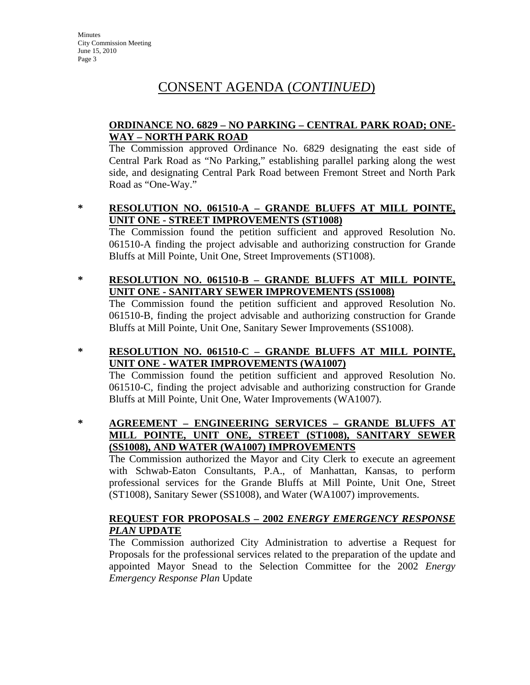**Minutes** City Commission Meeting June 15, 2010 Page 3

# CONSENT AGENDA (*CONTINUED*)

## **ORDINANCE NO. 6829 – NO PARKING – CENTRAL PARK ROAD; ONE-WAY – NORTH PARK ROAD**

The Commission approved Ordinance No. 6829 designating the east side of Central Park Road as "No Parking," establishing parallel parking along the west side, and designating Central Park Road between Fremont Street and North Park Road as "One-Way."

**\* RESOLUTION NO. 061510-A – GRANDE BLUFFS AT MILL POINTE, UNIT ONE - STREET IMPROVEMENTS (ST1008)**

The Commission found the petition sufficient and approved Resolution No. 061510-A finding the project advisable and authorizing construction for Grande Bluffs at Mill Pointe, Unit One, Street Improvements (ST1008).

## **\* RESOLUTION NO. 061510-B – GRANDE BLUFFS AT MILL POINTE, UNIT ONE - SANITARY SEWER IMPROVEMENTS (SS1008)**

The Commission found the petition sufficient and approved Resolution No. 061510-B, finding the project advisable and authorizing construction for Grande Bluffs at Mill Pointe, Unit One, Sanitary Sewer Improvements (SS1008).

**\* RESOLUTION NO. 061510-C – GRANDE BLUFFS AT MILL POINTE, UNIT ONE - WATER IMPROVEMENTS (WA1007)**

The Commission found the petition sufficient and approved Resolution No. 061510-C, finding the project advisable and authorizing construction for Grande Bluffs at Mill Pointe, Unit One, Water Improvements (WA1007).

**\* AGREEMENT – ENGINEERING SERVICES – GRANDE BLUFFS AT MILL POINTE, UNIT ONE, STREET (ST1008), SANITARY SEWER (SS1008), AND WATER (WA1007) IMPROVEMENTS**

The Commission authorized the Mayor and City Clerk to execute an agreement with Schwab-Eaton Consultants, P.A., of Manhattan, Kansas, to perform professional services for the Grande Bluffs at Mill Pointe, Unit One, Street (ST1008), Sanitary Sewer (SS1008), and Water (WA1007) improvements.

## **REQUEST FOR PROPOSALS – 2002** *ENERGY EMERGENCY RESPONSE PLAN* **UPDATE**

The Commission authorized City Administration to advertise a Request for Proposals for the professional services related to the preparation of the update and appointed Mayor Snead to the Selection Committee for the 2002 *Energy Emergency Response Plan* Update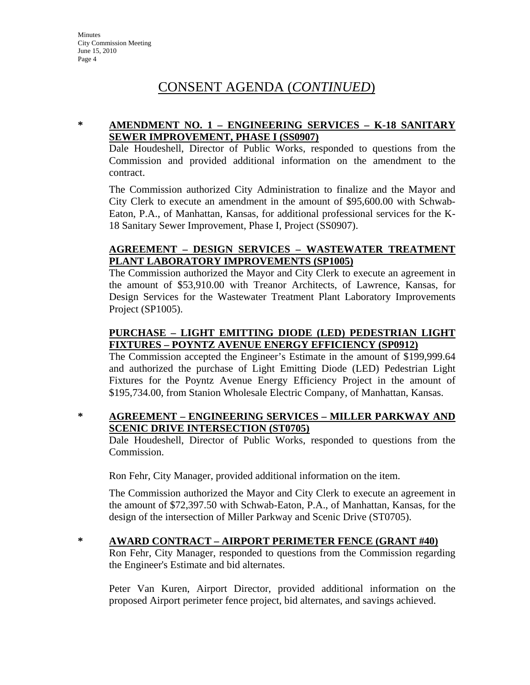# CONSENT AGENDA (*CONTINUED*)

## **\* AMENDMENT NO. 1 – ENGINEERING SERVICES – K-18 SANITARY SEWER IMPROVEMENT, PHASE I (SS0907)**

Dale Houdeshell, Director of Public Works, responded to questions from the Commission and provided additional information on the amendment to the contract.

The Commission authorized City Administration to finalize and the Mayor and City Clerk to execute an amendment in the amount of \$95,600.00 with Schwab-Eaton, P.A., of Manhattan, Kansas, for additional professional services for the K-18 Sanitary Sewer Improvement, Phase I, Project (SS0907).

## **AGREEMENT – DESIGN SERVICES – WASTEWATER TREATMENT PLANT LABORATORY IMPROVEMENTS (SP1005)**

The Commission authorized the Mayor and City Clerk to execute an agreement in the amount of \$53,910.00 with Treanor Architects, of Lawrence, Kansas, for Design Services for the Wastewater Treatment Plant Laboratory Improvements Project (SP1005).

## **PURCHASE – LIGHT EMITTING DIODE (LED) PEDESTRIAN LIGHT FIXTURES – POYNTZ AVENUE ENERGY EFFICIENCY (SP0912)**

The Commission accepted the Engineer's Estimate in the amount of \$199,999.64 and authorized the purchase of Light Emitting Diode (LED) Pedestrian Light Fixtures for the Poyntz Avenue Energy Efficiency Project in the amount of \$195,734.00, from Stanion Wholesale Electric Company, of Manhattan, Kansas.

## **\* AGREEMENT – ENGINEERING SERVICES – MILLER PARKWAY AND SCENIC DRIVE INTERSECTION (ST0705)**

Dale Houdeshell, Director of Public Works, responded to questions from the Commission.

Ron Fehr, City Manager, provided additional information on the item.

The Commission authorized the Mayor and City Clerk to execute an agreement in the amount of \$72,397.50 with Schwab-Eaton, P.A., of Manhattan, Kansas, for the design of the intersection of Miller Parkway and Scenic Drive (ST0705).

## **\* AWARD CONTRACT – AIRPORT PERIMETER FENCE (GRANT #40)**

Ron Fehr, City Manager, responded to questions from the Commission regarding the Engineer's Estimate and bid alternates.

Peter Van Kuren, Airport Director, provided additional information on the proposed Airport perimeter fence project, bid alternates, and savings achieved.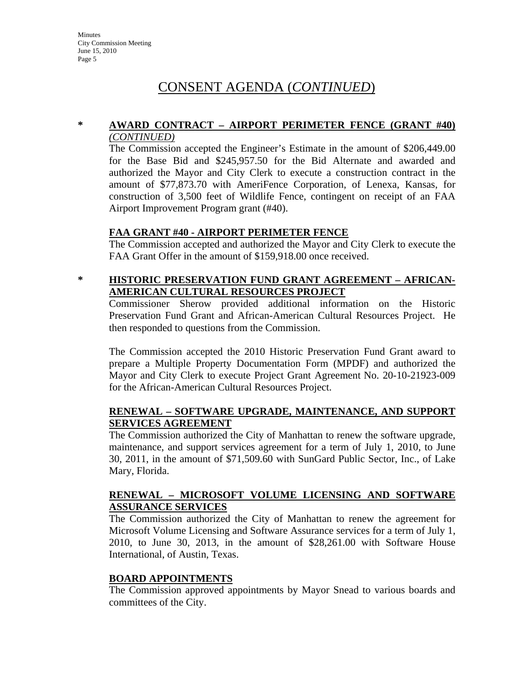# CONSENT AGENDA (*CONTINUED*)

#### **\* AWARD CONTRACT – AIRPORT PERIMETER FENCE (GRANT #40)** *(CONTINUED)*

The Commission accepted the Engineer's Estimate in the amount of \$206,449.00 for the Base Bid and \$245,957.50 for the Bid Alternate and awarded and authorized the Mayor and City Clerk to execute a construction contract in the amount of \$77,873.70 with AmeriFence Corporation, of Lenexa, Kansas, for construction of 3,500 feet of Wildlife Fence, contingent on receipt of an FAA Airport Improvement Program grant (#40).

## **FAA GRANT #40 - AIRPORT PERIMETER FENCE**

The Commission accepted and authorized the Mayor and City Clerk to execute the FAA Grant Offer in the amount of \$159,918.00 once received.

## **\* HISTORIC PRESERVATION FUND GRANT AGREEMENT – AFRICAN-AMERICAN CULTURAL RESOURCES PROJECT**

Commissioner Sherow provided additional information on the Historic Preservation Fund Grant and African-American Cultural Resources Project. He then responded to questions from the Commission.

The Commission accepted the 2010 Historic Preservation Fund Grant award to prepare a Multiple Property Documentation Form (MPDF) and authorized the Mayor and City Clerk to execute Project Grant Agreement No. 20-10-21923-009 for the African-American Cultural Resources Project.

## **RENEWAL – SOFTWARE UPGRADE, MAINTENANCE, AND SUPPORT SERVICES AGREEMENT**

The Commission authorized the City of Manhattan to renew the software upgrade, maintenance, and support services agreement for a term of July 1, 2010, to June 30, 2011, in the amount of \$71,509.60 with SunGard Public Sector, Inc., of Lake Mary, Florida.

## **RENEWAL – MICROSOFT VOLUME LICENSING AND SOFTWARE ASSURANCE SERVICES**

The Commission authorized the City of Manhattan to renew the agreement for Microsoft Volume Licensing and Software Assurance services for a term of July 1, 2010, to June 30, 2013, in the amount of \$28,261.00 with Software House International, of Austin, Texas.

#### **BOARD APPOINTMENTS**

The Commission approved appointments by Mayor Snead to various boards and committees of the City.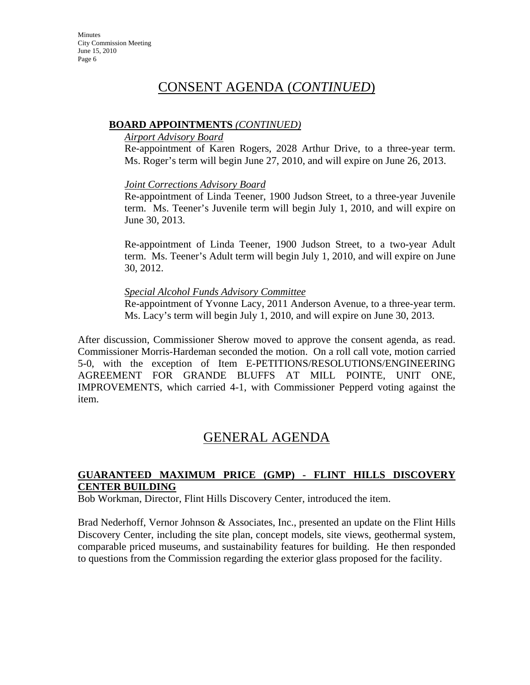## CONSENT AGENDA (*CONTINUED*)

#### **BOARD APPOINTMENTS** *(CONTINUED)*

#### *Airport Advisory Board*

Re-appointment of Karen Rogers, 2028 Arthur Drive, to a three-year term. Ms. Roger's term will begin June 27, 2010, and will expire on June 26, 2013.

## *Joint Corrections Advisory Board*

Re-appointment of Linda Teener, 1900 Judson Street, to a three-year Juvenile term. Ms. Teener's Juvenile term will begin July 1, 2010, and will expire on June 30, 2013.

Re-appointment of Linda Teener, 1900 Judson Street, to a two-year Adult term. Ms. Teener's Adult term will begin July 1, 2010, and will expire on June 30, 2012.

## *Special Alcohol Funds Advisory Committee*

Re-appointment of Yvonne Lacy, 2011 Anderson Avenue, to a three-year term. Ms. Lacy's term will begin July 1, 2010, and will expire on June 30, 2013.

After discussion, Commissioner Sherow moved to approve the consent agenda, as read. Commissioner Morris-Hardeman seconded the motion. On a roll call vote, motion carried 5-0, with the exception of Item E-PETITIONS/RESOLUTIONS/ENGINEERING AGREEMENT FOR GRANDE BLUFFS AT MILL POINTE, UNIT ONE, IMPROVEMENTS, which carried 4-1, with Commissioner Pepperd voting against the item.

## GENERAL AGENDA

## **GUARANTEED MAXIMUM PRICE (GMP) - FLINT HILLS DISCOVERY CENTER BUILDING**

Bob Workman, Director, Flint Hills Discovery Center, introduced the item.

Brad Nederhoff, Vernor Johnson & Associates, Inc., presented an update on the Flint Hills Discovery Center, including the site plan, concept models, site views, geothermal system, comparable priced museums, and sustainability features for building. He then responded to questions from the Commission regarding the exterior glass proposed for the facility.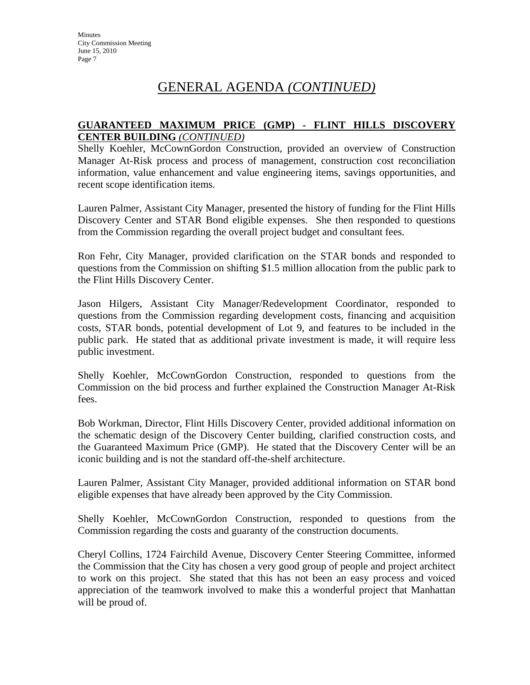## **GUARANTEED MAXIMUM PRICE (GMP) - FLINT HILLS DISCOVERY CENTER BUILDING** *(CONTINUED)*

Shelly Koehler, McCownGordon Construction, provided an overview of Construction Manager At-Risk process and process of management, construction cost reconciliation information, value enhancement and value engineering items, savings opportunities, and recent scope identification items.

Lauren Palmer, Assistant City Manager, presented the history of funding for the Flint Hills Discovery Center and STAR Bond eligible expenses. She then responded to questions from the Commission regarding the overall project budget and consultant fees.

Ron Fehr, City Manager, provided clarification on the STAR bonds and responded to questions from the Commission on shifting \$1.5 million allocation from the public park to the Flint Hills Discovery Center.

Jason Hilgers, Assistant City Manager/Redevelopment Coordinator, responded to questions from the Commission regarding development costs, financing and acquisition costs, STAR bonds, potential development of Lot 9, and features to be included in the public park. He stated that as additional private investment is made, it will require less public investment.

Shelly Koehler, McCownGordon Construction, responded to questions from the Commission on the bid process and further explained the Construction Manager At-Risk fees.

Bob Workman, Director, Flint Hills Discovery Center, provided additional information on the schematic design of the Discovery Center building, clarified construction costs, and the Guaranteed Maximum Price (GMP). He stated that the Discovery Center will be an iconic building and is not the standard off-the-shelf architecture.

Lauren Palmer, Assistant City Manager, provided additional information on STAR bond eligible expenses that have already been approved by the City Commission.

Shelly Koehler, McCownGordon Construction, responded to questions from the Commission regarding the costs and guaranty of the construction documents.

Cheryl Collins, 1724 Fairchild Avenue, Discovery Center Steering Committee, informed the Commission that the City has chosen a very good group of people and project architect to work on this project. She stated that this has not been an easy process and voiced appreciation of the teamwork involved to make this a wonderful project that Manhattan will be proud of.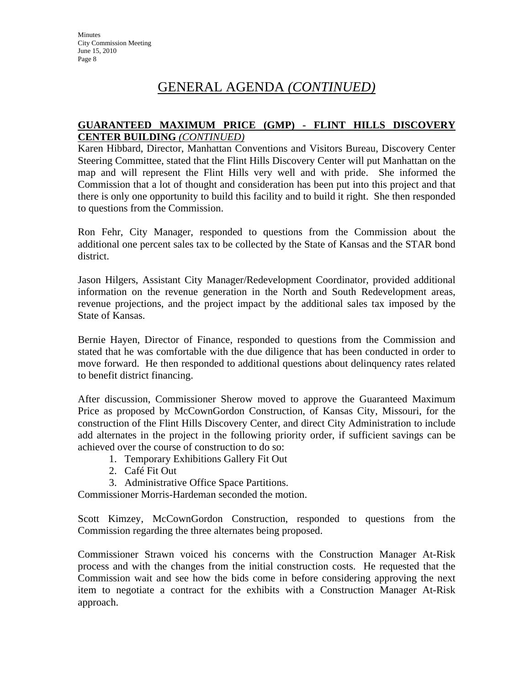## **GUARANTEED MAXIMUM PRICE (GMP) - FLINT HILLS DISCOVERY CENTER BUILDING** *(CONTINUED)*

Karen Hibbard, Director, Manhattan Conventions and Visitors Bureau, Discovery Center Steering Committee, stated that the Flint Hills Discovery Center will put Manhattan on the map and will represent the Flint Hills very well and with pride. She informed the Commission that a lot of thought and consideration has been put into this project and that there is only one opportunity to build this facility and to build it right. She then responded to questions from the Commission.

Ron Fehr, City Manager, responded to questions from the Commission about the additional one percent sales tax to be collected by the State of Kansas and the STAR bond district.

Jason Hilgers, Assistant City Manager/Redevelopment Coordinator, provided additional information on the revenue generation in the North and South Redevelopment areas, revenue projections, and the project impact by the additional sales tax imposed by the State of Kansas.

Bernie Hayen, Director of Finance, responded to questions from the Commission and stated that he was comfortable with the due diligence that has been conducted in order to move forward. He then responded to additional questions about delinquency rates related to benefit district financing.

After discussion, Commissioner Sherow moved to approve the Guaranteed Maximum Price as proposed by McCownGordon Construction, of Kansas City, Missouri, for the construction of the Flint Hills Discovery Center, and direct City Administration to include add alternates in the project in the following priority order, if sufficient savings can be achieved over the course of construction to do so:

- 1. Temporary Exhibitions Gallery Fit Out
- 2. Café Fit Out
- 3. Administrative Office Space Partitions.

Commissioner Morris-Hardeman seconded the motion.

Scott Kimzey, McCownGordon Construction, responded to questions from the Commission regarding the three alternates being proposed.

Commissioner Strawn voiced his concerns with the Construction Manager At-Risk process and with the changes from the initial construction costs. He requested that the Commission wait and see how the bids come in before considering approving the next item to negotiate a contract for the exhibits with a Construction Manager At-Risk approach.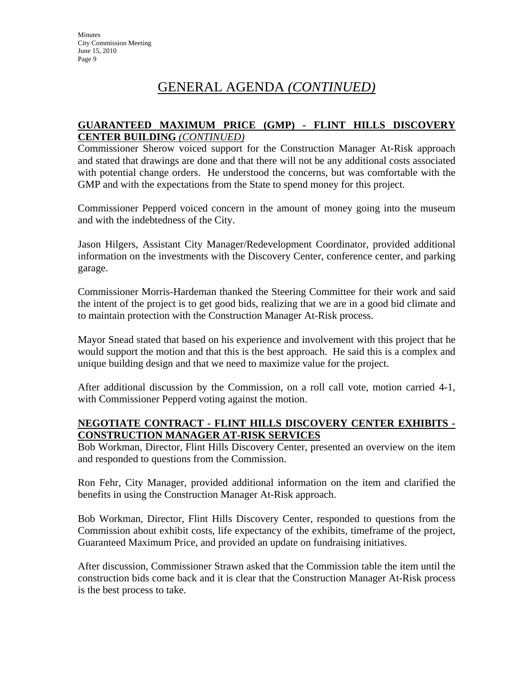## **GUARANTEED MAXIMUM PRICE (GMP) - FLINT HILLS DISCOVERY CENTER BUILDING** *(CONTINUED)*

Commissioner Sherow voiced support for the Construction Manager At-Risk approach and stated that drawings are done and that there will not be any additional costs associated with potential change orders. He understood the concerns, but was comfortable with the GMP and with the expectations from the State to spend money for this project.

Commissioner Pepperd voiced concern in the amount of money going into the museum and with the indebtedness of the City.

Jason Hilgers, Assistant City Manager/Redevelopment Coordinator, provided additional information on the investments with the Discovery Center, conference center, and parking garage.

Commissioner Morris-Hardeman thanked the Steering Committee for their work and said the intent of the project is to get good bids, realizing that we are in a good bid climate and to maintain protection with the Construction Manager At-Risk process.

Mayor Snead stated that based on his experience and involvement with this project that he would support the motion and that this is the best approach. He said this is a complex and unique building design and that we need to maximize value for the project.

After additional discussion by the Commission, on a roll call vote, motion carried 4-1, with Commissioner Pepperd voting against the motion.

## **NEGOTIATE CONTRACT - FLINT HILLS DISCOVERY CENTER EXHIBITS - CONSTRUCTION MANAGER AT-RISK SERVICES**

Bob Workman, Director, Flint Hills Discovery Center, presented an overview on the item and responded to questions from the Commission.

Ron Fehr, City Manager, provided additional information on the item and clarified the benefits in using the Construction Manager At-Risk approach.

Bob Workman, Director, Flint Hills Discovery Center, responded to questions from the Commission about exhibit costs, life expectancy of the exhibits, timeframe of the project, Guaranteed Maximum Price, and provided an update on fundraising initiatives.

After discussion, Commissioner Strawn asked that the Commission table the item until the construction bids come back and it is clear that the Construction Manager At-Risk process is the best process to take.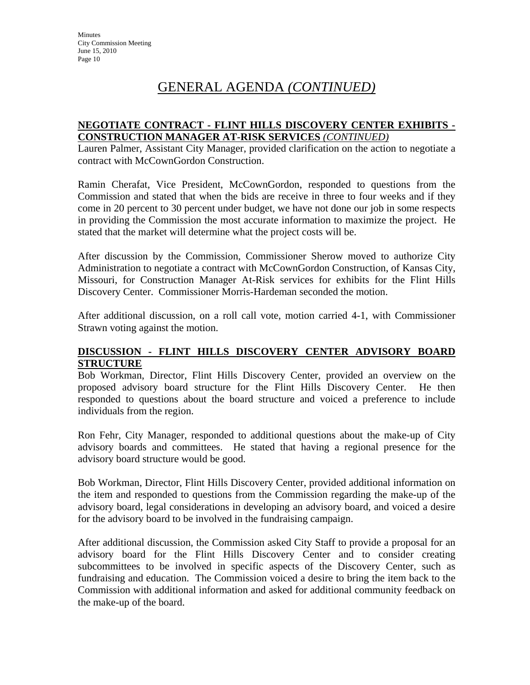### **NEGOTIATE CONTRACT - FLINT HILLS DISCOVERY CENTER EXHIBITS - CONSTRUCTION MANAGER AT-RISK SERVICES** *(CONTINUED)*

Lauren Palmer, Assistant City Manager, provided clarification on the action to negotiate a contract with McCownGordon Construction.

Ramin Cherafat, Vice President, McCownGordon, responded to questions from the Commission and stated that when the bids are receive in three to four weeks and if they come in 20 percent to 30 percent under budget, we have not done our job in some respects in providing the Commission the most accurate information to maximize the project. He stated that the market will determine what the project costs will be.

After discussion by the Commission, Commissioner Sherow moved to authorize City Administration to negotiate a contract with McCownGordon Construction, of Kansas City, Missouri, for Construction Manager At-Risk services for exhibits for the Flint Hills Discovery Center. Commissioner Morris-Hardeman seconded the motion.

After additional discussion, on a roll call vote, motion carried 4-1, with Commissioner Strawn voting against the motion.

## **DISCUSSION - FLINT HILLS DISCOVERY CENTER ADVISORY BOARD STRUCTURE**

Bob Workman, Director, Flint Hills Discovery Center, provided an overview on the proposed advisory board structure for the Flint Hills Discovery Center. He then responded to questions about the board structure and voiced a preference to include individuals from the region.

Ron Fehr, City Manager, responded to additional questions about the make-up of City advisory boards and committees. He stated that having a regional presence for the advisory board structure would be good.

Bob Workman, Director, Flint Hills Discovery Center, provided additional information on the item and responded to questions from the Commission regarding the make-up of the advisory board, legal considerations in developing an advisory board, and voiced a desire for the advisory board to be involved in the fundraising campaign.

After additional discussion, the Commission asked City Staff to provide a proposal for an advisory board for the Flint Hills Discovery Center and to consider creating subcommittees to be involved in specific aspects of the Discovery Center, such as fundraising and education. The Commission voiced a desire to bring the item back to the Commission with additional information and asked for additional community feedback on the make-up of the board.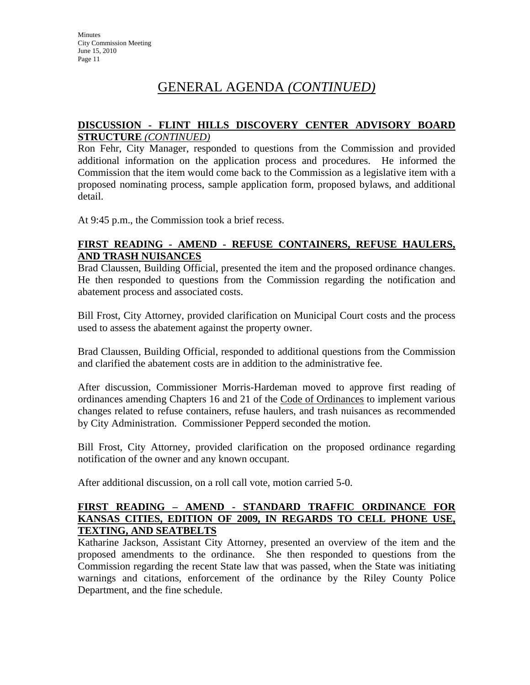## **DISCUSSION - FLINT HILLS DISCOVERY CENTER ADVISORY BOARD STRUCTURE** *(CONTINUED)*

Ron Fehr, City Manager, responded to questions from the Commission and provided additional information on the application process and procedures. He informed the Commission that the item would come back to the Commission as a legislative item with a proposed nominating process, sample application form, proposed bylaws, and additional detail.

At 9:45 p.m., the Commission took a brief recess.

## **FIRST READING - AMEND - REFUSE CONTAINERS, REFUSE HAULERS, AND TRASH NUISANCES**

Brad Claussen, Building Official, presented the item and the proposed ordinance changes. He then responded to questions from the Commission regarding the notification and abatement process and associated costs.

Bill Frost, City Attorney, provided clarification on Municipal Court costs and the process used to assess the abatement against the property owner.

Brad Claussen, Building Official, responded to additional questions from the Commission and clarified the abatement costs are in addition to the administrative fee.

After discussion, Commissioner Morris-Hardeman moved to approve first reading of ordinances amending Chapters 16 and 21 of the Code of Ordinances to implement various changes related to refuse containers, refuse haulers, and trash nuisances as recommended by City Administration. Commissioner Pepperd seconded the motion.

Bill Frost, City Attorney, provided clarification on the proposed ordinance regarding notification of the owner and any known occupant.

After additional discussion, on a roll call vote, motion carried 5-0.

## **FIRST READING – AMEND - STANDARD TRAFFIC ORDINANCE FOR KANSAS CITIES, EDITION OF 2009, IN REGARDS TO CELL PHONE USE, TEXTING, AND SEATBELTS**

Katharine Jackson, Assistant City Attorney, presented an overview of the item and the proposed amendments to the ordinance. She then responded to questions from the Commission regarding the recent State law that was passed, when the State was initiating warnings and citations, enforcement of the ordinance by the Riley County Police Department, and the fine schedule.